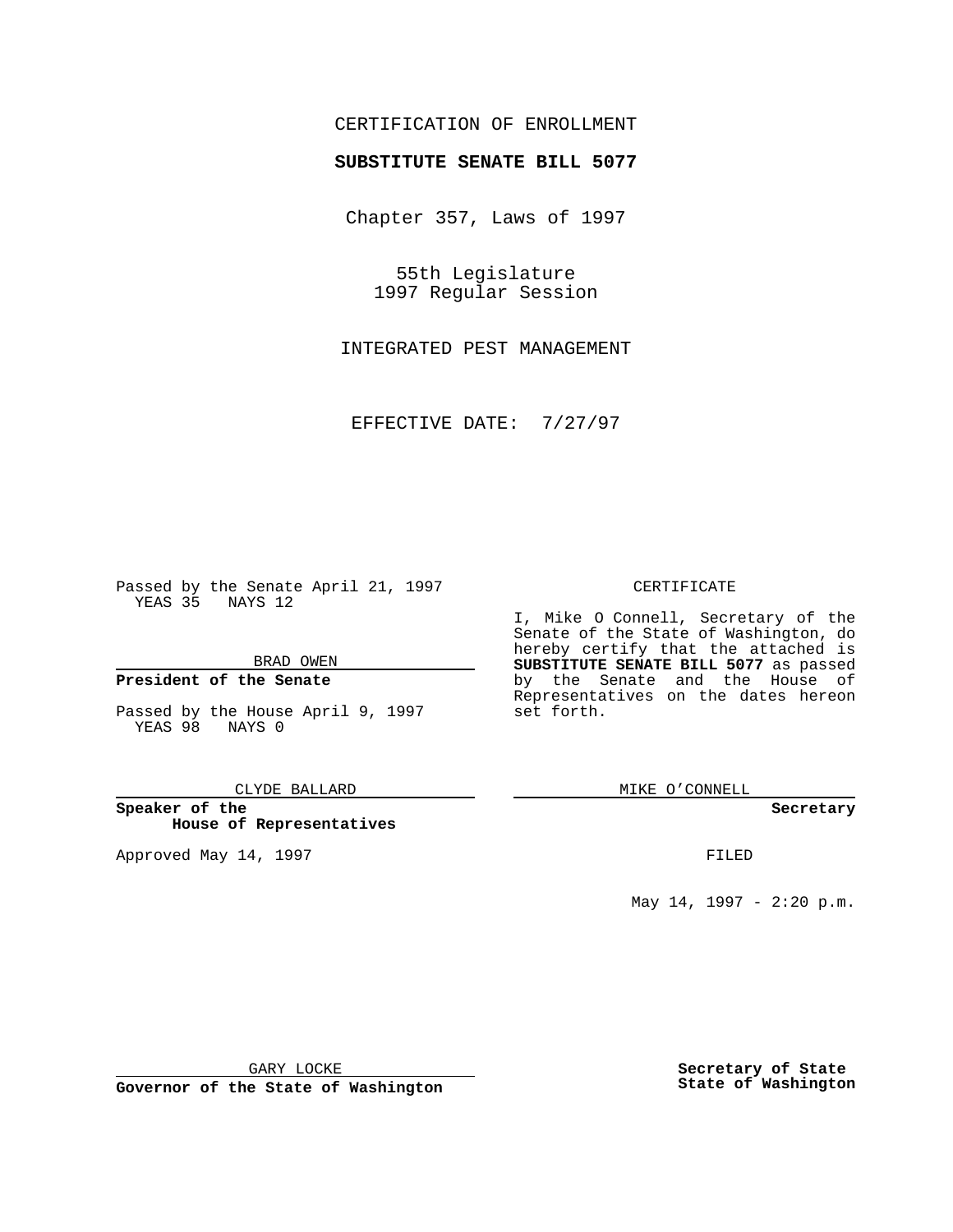## CERTIFICATION OF ENROLLMENT

# **SUBSTITUTE SENATE BILL 5077**

Chapter 357, Laws of 1997

55th Legislature 1997 Regular Session

INTEGRATED PEST MANAGEMENT

EFFECTIVE DATE: 7/27/97

Passed by the Senate April 21, 1997 YEAS 35 NAYS 12

BRAD OWEN

## **President of the Senate**

Passed by the House April 9, 1997 YEAS 98 NAYS 0

### CLYDE BALLARD

**Speaker of the House of Representatives**

Approved May 14, 1997 **FILED** 

### CERTIFICATE

I, Mike O Connell, Secretary of the Senate of the State of Washington, do hereby certify that the attached is **SUBSTITUTE SENATE BILL 5077** as passed by the Senate and the House of Representatives on the dates hereon set forth.

MIKE O'CONNELL

#### **Secretary**

May 14, 1997 - 2:20 p.m.

GARY LOCKE

**Governor of the State of Washington**

**Secretary of State State of Washington**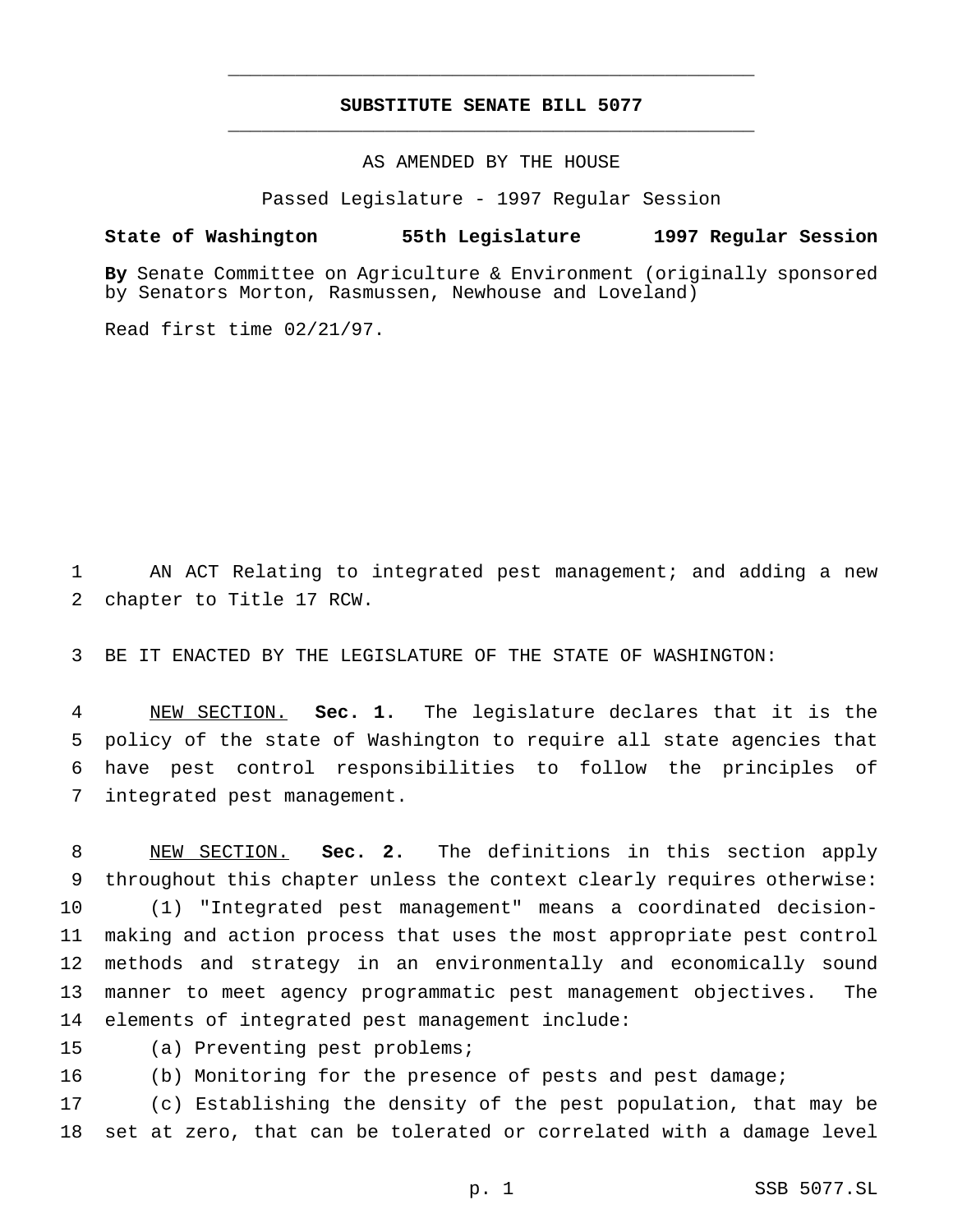# **SUBSTITUTE SENATE BILL 5077** \_\_\_\_\_\_\_\_\_\_\_\_\_\_\_\_\_\_\_\_\_\_\_\_\_\_\_\_\_\_\_\_\_\_\_\_\_\_\_\_\_\_\_\_\_\_\_

\_\_\_\_\_\_\_\_\_\_\_\_\_\_\_\_\_\_\_\_\_\_\_\_\_\_\_\_\_\_\_\_\_\_\_\_\_\_\_\_\_\_\_\_\_\_\_

AS AMENDED BY THE HOUSE

Passed Legislature - 1997 Regular Session

## **State of Washington 55th Legislature 1997 Regular Session**

**By** Senate Committee on Agriculture & Environment (originally sponsored by Senators Morton, Rasmussen, Newhouse and Loveland)

Read first time 02/21/97.

 AN ACT Relating to integrated pest management; and adding a new chapter to Title 17 RCW.

BE IT ENACTED BY THE LEGISLATURE OF THE STATE OF WASHINGTON:

 NEW SECTION. **Sec. 1.** The legislature declares that it is the policy of the state of Washington to require all state agencies that have pest control responsibilities to follow the principles of integrated pest management.

 NEW SECTION. **Sec. 2.** The definitions in this section apply throughout this chapter unless the context clearly requires otherwise: (1) "Integrated pest management" means a coordinated decision- making and action process that uses the most appropriate pest control methods and strategy in an environmentally and economically sound manner to meet agency programmatic pest management objectives. The elements of integrated pest management include:

- (a) Preventing pest problems;
- (b) Monitoring for the presence of pests and pest damage;

 (c) Establishing the density of the pest population, that may be set at zero, that can be tolerated or correlated with a damage level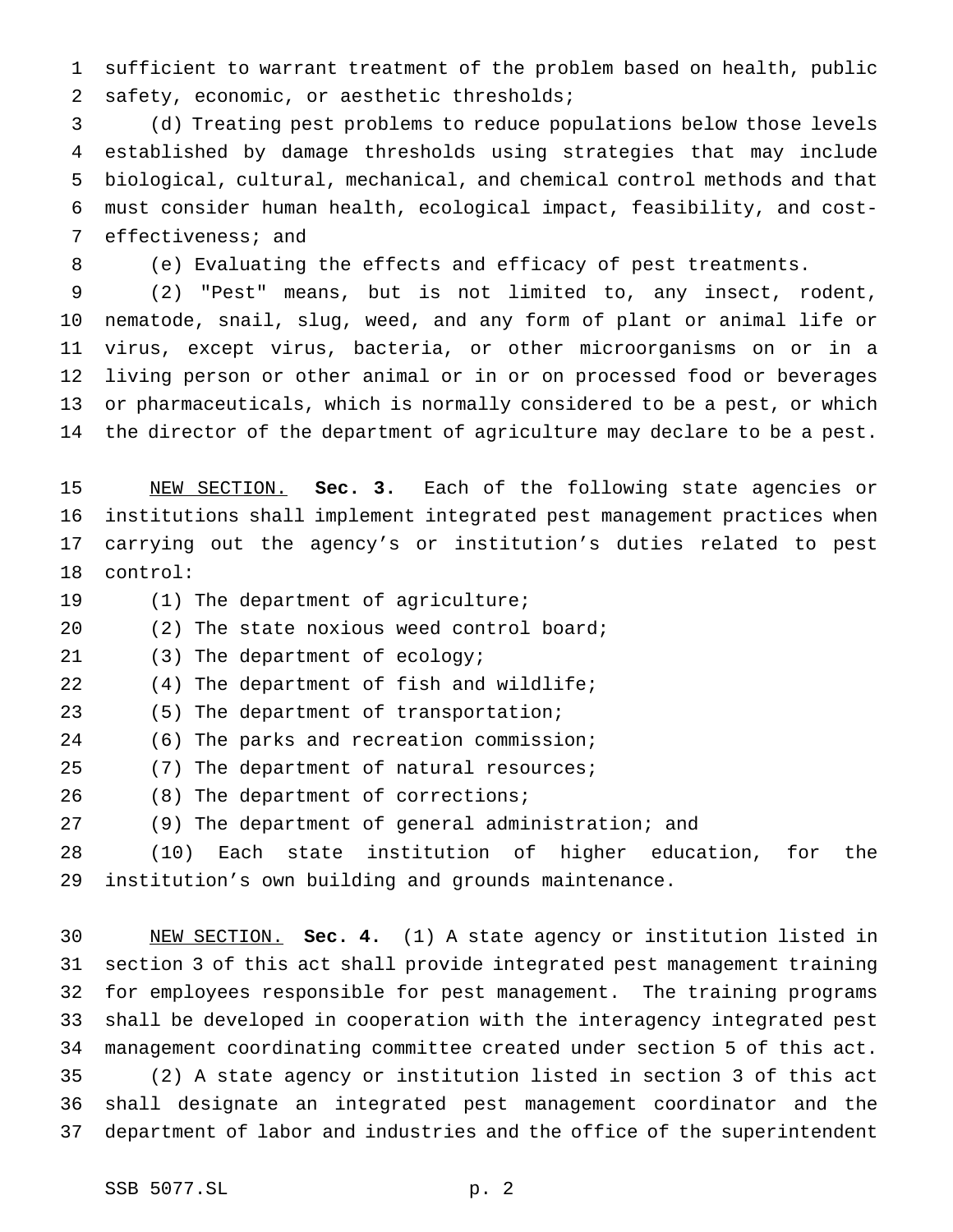sufficient to warrant treatment of the problem based on health, public safety, economic, or aesthetic thresholds;

 (d) Treating pest problems to reduce populations below those levels established by damage thresholds using strategies that may include biological, cultural, mechanical, and chemical control methods and that must consider human health, ecological impact, feasibility, and cost-effectiveness; and

(e) Evaluating the effects and efficacy of pest treatments.

 (2) "Pest" means, but is not limited to, any insect, rodent, nematode, snail, slug, weed, and any form of plant or animal life or virus, except virus, bacteria, or other microorganisms on or in a living person or other animal or in or on processed food or beverages or pharmaceuticals, which is normally considered to be a pest, or which the director of the department of agriculture may declare to be a pest.

 NEW SECTION. **Sec. 3.** Each of the following state agencies or institutions shall implement integrated pest management practices when carrying out the agency's or institution's duties related to pest control:

(1) The department of agriculture;

20 (2) The state noxious weed control board;

(3) The department of ecology;

(4) The department of fish and wildlife;

(5) The department of transportation;

(6) The parks and recreation commission;

(7) The department of natural resources;

(8) The department of corrections;

(9) The department of general administration; and

 (10) Each state institution of higher education, for the institution's own building and grounds maintenance.

 NEW SECTION. **Sec. 4.** (1) A state agency or institution listed in section 3 of this act shall provide integrated pest management training for employees responsible for pest management. The training programs shall be developed in cooperation with the interagency integrated pest management coordinating committee created under section 5 of this act. (2) A state agency or institution listed in section 3 of this act shall designate an integrated pest management coordinator and the department of labor and industries and the office of the superintendent